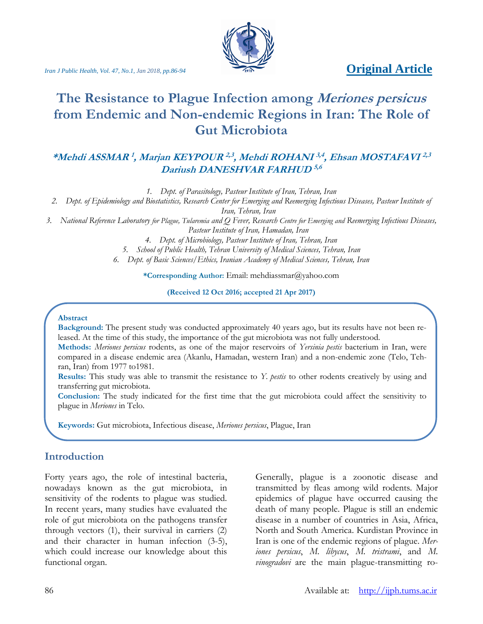## *Iran J Public Health, Vol. 47, No.1, Jan 2018, pp.86-94* **Original Article**



# **The Resistance to Plague Infection among Meriones persicus from Endemic and Non-endemic Regions in Iran: The Role of Gut Microbiota**

## **\*Mehdi ASSMAR 1 , Marjan KEYPOUR 2,3 , Mehdi ROHANI 3,4 , Ehsan MOSTAFAVI 2,3 Dariush DANESHVAR FARHUD 5,6**

*1. Dept. of Parasitology, Pasteur Institute of Iran, Tehran, Iran*

*2. Dept. of Epidemiology and Biostatistics, Research Center for Emerging and Reemerging Infectious Diseases, Pasteur Institute of Iran, Tehran, Iran*

*3. National Reference Laboratory for Plague, Tularemia and Q Fever, Research Centre for Emerging and Reemerging Infectious Diseases, Pasteur Institute of Iran, Hamadan, Iran*

*4. Dept. of Microbiology, Pasteur Institute of Iran, Tehran, Iran*

*5. School of Public Health, Tehran University of Medical Sciences, Tehran, Iran*

*6. Dept. of Basic Sciences/Ethics, Iranian Academy of Medical Sciences, Tehran, Iran*

**\*Corresponding Author:** Email: mehdiassmar@yahoo.com

**(Received 12 Oct 2016; accepted 21 Apr 2017)**

#### **Abstract**

**Background:** The present study was conducted approximately 40 years ago, but its results have not been released. At the time of this study, the importance of the gut microbiota was not fully understood.

**Methods:** *Meriones persicus* rodents, as one of the major reservoirs of *Yersinia pestis* bacterium in Iran, were compared in a disease endemic area (Akanlu, Hamadan, western Iran) and a non-endemic zone (Telo, Tehran, Iran) from 1977 to1981.

**Results:** This study was able to transmit the resistance to *Y. pestis* to other rodents creatively by using and transferring gut microbiota.

**Conclusion:** The study indicated for the first time that the gut microbiota could affect the sensitivity to plague in *Meriones* in Telo.

**Keywords:** Gut microbiota, Infectious disease, *Meriones persicus*, Plague, Iran

## **Introduction**

Forty years ago, the role of intestinal bacteria, nowadays known as the gut microbiota, in sensitivity of the rodents to plague was studied. In recent years, many studies have evaluated the role of gut microbiota on the pathogens transfer through vectors (1), their survival in carriers (2) and their character in human infection (3-5), which could increase our knowledge about this functional organ.

Generally, plague is a zoonotic disease and transmitted by fleas among wild rodents. Major epidemics of plague have occurred causing the death of many people. Plague is still an endemic disease in a number of countries in Asia, Africa, North and South America. Kurdistan Province in Iran is one of the endemic regions of plague. *Meriones persicus*, *M. libycus*, *M. tristrami*, and *M. vinogradovi* are the main plague-transmitting ro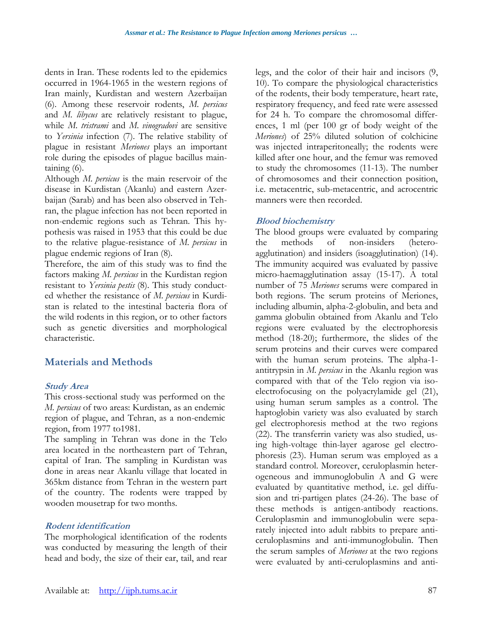dents in Iran. These rodents led to the epidemics occurred in 1964-1965 in the western regions of Iran mainly, Kurdistan and western Azerbaijan (6). Among these reservoir rodents, *M. persicus* and *M. libycus* are relatively resistant to plague, while *M. tristrami* and *M. vinogradovi* are sensitive to *Yersinia* infection (7). The relative stability of plague in resistant *Meriones* plays an important role during the episodes of plague bacillus maintaining (6).

Although *M. persicus* is the main reservoir of the disease in Kurdistan (Akanlu) and eastern Azerbaijan (Sarab) and has been also observed in Tehran, the plague infection has not been reported in non-endemic regions such as Tehran. This hypothesis was raised in 1953 that this could be due to the relative plague-resistance of *M. persicus* in plague endemic regions of Iran (8)*.* 

Therefore, the aim of this study was to find the factors making *M. persicus* in the Kurdistan region resistant to *Yersinia pestis* (8). This study conducted whether the resistance of *M. persicus* in Kurdistan is related to the intestinal bacteria flora of the wild rodents in this region, or to other factors such as genetic diversities and morphological characteristic.

## **Materials and Methods**

#### **Study Area**

This cross-sectional study was performed on the *M. persicus* of two areas: Kurdistan, as an endemic region of plague, and Tehran, as a non-endemic region, from 1977 to1981.

The sampling in Tehran was done in the Telo area located in the northeastern part of Tehran, capital of Iran. The sampling in Kurdistan was done in areas near Akanlu village that located in 365km distance from Tehran in the western part of the country. The rodents were trapped by wooden mousetrap for two months.

#### **Rodent identification**

The morphological identification of the rodents was conducted by measuring the length of their head and body, the size of their ear, tail, and rear legs, and the color of their hair and incisors (9, 10). To compare the physiological characteristics of the rodents, their body temperature, heart rate, respiratory frequency, and feed rate were assessed for 24 h. To compare the chromosomal differences, 1 ml (per 100 gr of body weight of the *Meriones*) of 25% diluted solution of colchicine was injected intraperitoneally; the rodents were killed after one hour, and the femur was removed to study the chromosomes (11-13). The number of chromosomes and their connection position, i.e. metacentric, sub-metacentric, and acrocentric manners were then recorded.

#### **Blood biochemistry**

The blood groups were evaluated by comparing the methods of non-insiders (heteroagglutination) and insiders (isoagglutination) (14). The immunity acquired was evaluated by passive micro-haemagglutination assay (15-17). A total number of 75 *Meriones* serums were compared in both regions. The serum proteins of Meriones, including albumin, alpha-2-globulin, and beta and gamma globulin obtained from Akanlu and Telo regions were evaluated by the electrophoresis method (18-20); furthermore, the slides of the serum proteins and their curves were compared with the human serum proteins. The alpha-1 antitrypsin in *M. persicus* in the Akanlu region was compared with that of the Telo region via isoelectrofocusing on the polyacrylamide gel (21), using human serum samples as a control. The haptoglobin variety was also evaluated by starch gel electrophoresis method at the two regions (22). The transferrin variety was also studied, using high-voltage thin-layer agarose gel electrophoresis (23). Human serum was employed as a standard control. Moreover, ceruloplasmin heterogeneous and immunoglobulin A and G were evaluated by quantitative method, i.e. gel diffusion and tri-partigen plates (24-26). The base of these methods is antigen-antibody reactions. Ceruloplasmin and immunoglobulin were separately injected into adult rabbits to prepare anticeruloplasmins and anti-immunoglobulin. Then the serum samples of *Meriones* at the two regions were evaluated by anti-ceruloplasmins and anti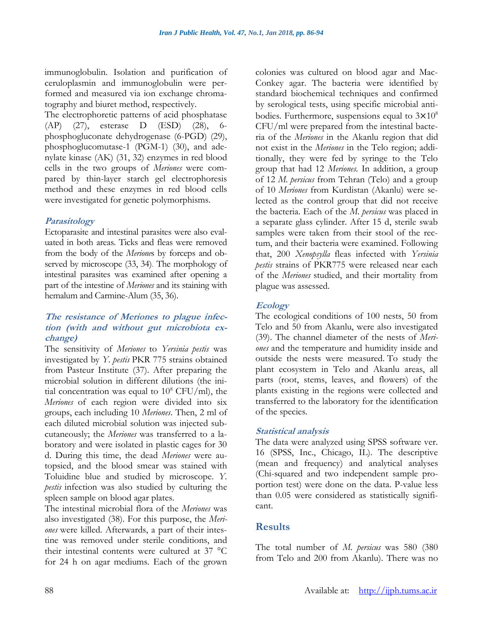immunoglobulin. Isolation and purification of ceruloplasmin and immunoglobulin were performed and measured via ion exchange chromatography and biuret method, respectively.

The electrophoretic patterns of acid phosphatase (AP) (27), esterase D (ESD) (28), 6 phosphogluconate dehydrogenase (6-PGD) (29), phosphoglucomutase-1 (PGM-1) (30), and adenylate kinase (AK) (31, 32) enzymes in red blood cells in the two groups of *Meriones* were compared by thin-layer starch gel electrophoresis method and these enzymes in red blood cells were investigated for genetic polymorphisms.

#### **Parasitology**

Ectoparasite and intestinal parasites were also evaluated in both areas. Ticks and fleas were removed from the body of the *Merione*s by forceps and observed by microscope (33, 34). The morphology of intestinal parasites was examined after opening a part of the intestine of *Meriones* and its staining with hemalum and Carmine-Alum (35, 36).

#### **The resistance of Meriones to plague infection (with and without gut microbiota exchange)**

The sensitivity of *Meriones* to *Yersinia pestis* was investigated by *Y. pestis* PKR 775 strains obtained from Pasteur Institute (37). After preparing the microbial solution in different dilutions (the initial concentration was equal to  $10^8$  CFU/ml), the *Meriones* of each region were divided into six groups, each including 10 *Meriones*. Then, 2 ml of each diluted microbial solution was injected subcutaneously; the *Meriones* was transferred to a laboratory and were isolated in plastic cages for 30 d. During this time, the dead *Meriones* were autopsied, and the blood smear was stained with Toluidine blue and studied by microscope. *Y. pestis* infection was also studied by culturing the spleen sample on blood agar plates.

The intestinal microbial flora of the *Meriones* was also investigated (38). For this purpose, the *Meriones* were killed. Afterwards, a part of their intestine was removed under sterile conditions, and their intestinal contents were cultured at 37 °C for 24 h on agar mediums. Each of the grown

colonies was cultured on blood agar and Mac-Conkey agar. The bacteria were identified by standard biochemical techniques and confirmed by serological tests, using specific microbial antibodies. Furthermore, suspensions equal to  $3 \times 10^8$ CFU/ml were prepared from the intestinal bacteria of the *Meriones* in the Akanlu region that did not exist in the *Meriones* in the Telo region; additionally, they were fed by syringe to the Telo group that had 12 *Meriones.* In addition, a group of 12 *M. persicus* from Tehran (Telo) and a group of 10 *Meriones* from Kurdistan (Akanlu) were selected as the control group that did not receive the bacteria. Each of the *M. persicus* was placed in a separate glass cylinder. After 15 d, sterile swab samples were taken from their stool of the rectum, and their bacteria were examined. Following that, 200 *Xenopsylla* fleas infected with *Yersinia pestis* strains of PKR775 were released near each of the *Meriones* studied, and their mortality from plague was assessed.

### **Ecology**

The ecological conditions of 100 nests, 50 from Telo and 50 from Akanlu, were also investigated (39). The channel diameter of the nests of *Meriones* and the temperature and humidity inside and outside the nests were measured. To study the plant ecosystem in Telo and Akanlu areas, all parts (root, stems, leaves, and flowers) of the plants existing in the regions were collected and transferred to the laboratory for the identification of the species.

### **Statistical analysis**

The data were analyzed using SPSS software ver. 16 (SPSS, Inc., Chicago, IL). The descriptive (mean and frequency) and analytical analyses (Chi-squared and two independent sample proportion test) were done on the data. P-value less than 0.05 were considered as statistically significant.

## **Results**

The total number of *M. persicus* was 580 (380 from Telo and 200 from Akanlu). There was no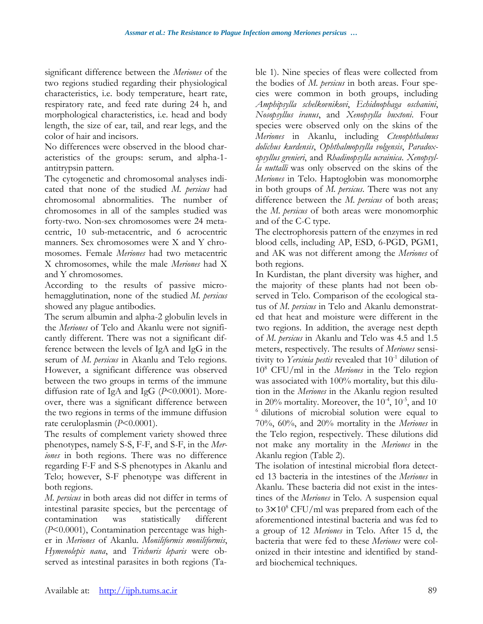significant difference between the *Meriones* of the two regions studied regarding their physiological characteristics, i.e. body temperature, heart rate, respiratory rate, and feed rate during 24 h, and morphological characteristics, i.e. head and body length, the size of ear, tail, and rear legs, and the color of hair and incisors.

No differences were observed in the blood characteristics of the groups: serum, and alpha-1 antitrypsin pattern.

The cytogenetic and chromosomal analyses indicated that none of the studied *M. persicus* had chromosomal abnormalities. The number of chromosomes in all of the samples studied was forty-two. Non-sex chromosomes were 24 metacentric, 10 sub-metacentric, and 6 acrocentric manners. Sex chromosomes were X and Y chromosomes. Female *Meriones* had two metacentric X chromosomes, while the male *Meriones* had X and Y chromosomes.

According to the results of passive microhemagglutination, none of the studied *M. persicus* showed any plague antibodies.

The serum albumin and alpha-2 globulin levels in the *Meriones* of Telo and Akanlu were not significantly different. There was not a significant difference between the levels of IgA and IgG in the serum of *M. persicus* in Akanlu and Telo regions. However, a significant difference was observed between the two groups in terms of the immune diffusion rate of IgA and IgG (*P*<0.0001). Moreover, there was a significant difference between the two regions in terms of the immune diffusion rate ceruloplasmin (*P*<0.0001).

The results of complement variety showed three phenotypes, namely S-S, F-F, and S-F, in the *Meriones* in both regions. There was no difference regarding F-F and S-S phenotypes in Akanlu and Telo; however, S-F phenotype was different in both regions.

*M. persicus* in both areas did not differ in terms of intestinal parasite species, but the percentage of contamination was statistically different (*P*<0.0001), Contamination percentage was higher in *Meriones* of Akanlu. *Moniliformis moniliformis*, *Hymenolepis nana*, and *Trichuris leparis* were observed as intestinal parasites in both regions (Table 1). Nine species of fleas were collected from the bodies of *M. persicus* in both areas. Four species were common in both groups, including *Amphipsylla schelkovnikovi*, *Echidnophaga oschanini*, *Nosopsyllus iranus*, and *Xenopsylla buxtoni*. Four species were observed only on the skins of the *Meriones* in Akanlu, including *Ctenophthalmus dolichus kurdensis*, *Ophthalmopsylla volgensis*, *Paradoxopsyllus grenieri*, and *Rhadinopsylla ucrainica*. *Xenopsylla nuttalli* was only observed on the skins of the *Meriones* in Telo. Haptoglobin was monomorphe in both groups of *M. persicus*. There was not any difference between the *M. persicus* of both areas; the *M. persicus* of both areas were monomorphic and of the C-C type.

The electrophoresis pattern of the enzymes in red blood cells, including AP, ESD, 6-PGD, PGM1, and AK was not different among the *Meriones* of both regions.

In Kurdistan, the plant diversity was higher, and the majority of these plants had not been observed in Telo. Comparison of the ecological status of *M. persicus* in Telo and Akanlu demonstrated that heat and moisture were different in the two regions. In addition, the average nest depth of *M. persicus* in Akanlu and Telo was 4.5 and 1.5 meters, respectively. The results of *Meriones* sensitivity to *Yersinia pestis* revealed that 10-1 dilution of 10<sup>8</sup> CFU/ml in the *Meriones* in the Telo region was associated with 100% mortality, but this dilution in the *Meriones* in the Akanlu region resulted in 20% mortality. Moreover, the  $10^{-4}$ ,  $10^{-5}$ , and  $10^{-7}$  $6$  dilutions of microbial solution were equal to 70%, 60%, and 20% mortality in the *Meriones* in the Telo region, respectively. These dilutions did not make any mortality in the *Meriones* in the Akanlu region (Table 2).

The isolation of intestinal microbial flora detected 13 bacteria in the intestines of the *Meriones* in Akanlu. These bacteria did not exist in the intestines of the *Meriones* in Telo. A suspension equal to  $3\times10^8$  CFU/ml was prepared from each of the aforementioned intestinal bacteria and was fed to a group of 12 *Meriones* in Telo. After 15 d, the bacteria that were fed to these *Meriones* were colonized in their intestine and identified by standard biochemical techniques.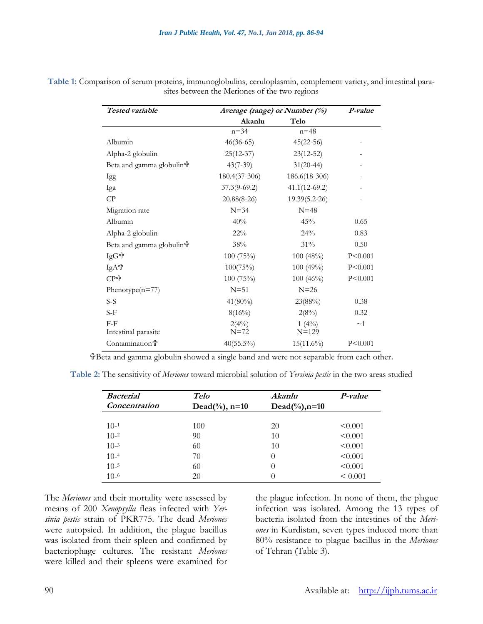| Tested variable                      | Average (range) or Number (%) |                   | P-value   |
|--------------------------------------|-------------------------------|-------------------|-----------|
|                                      | Akanlu                        | Telo              |           |
|                                      | $n = 34$                      | $n = 48$          |           |
| Albumin                              | $46(36-65)$                   | $45(22-56)$       |           |
| Alpha-2 globulin                     | $25(12-37)$                   | $23(12-52)$       |           |
| Beta and gamma globulina             | $43(7-39)$                    | $31(20-44)$       |           |
| Igg                                  | $180.4(37-306)$               | 186.6(18-306)     |           |
| Iga                                  | $37.3(9-69.2)$                | $41.1(12-69.2)$   |           |
| CP                                   | $20.88(8-26)$                 | $19.39(5.2 - 26)$ |           |
| Migration rate                       | $N = 34$                      | $N=48$            |           |
| Albumin                              | 40%                           | 45%               | 0.65      |
| Alpha-2 globulin                     | $22\%$                        | 24%               | 0.83      |
| Beta and gamma globulin <sup>t</sup> | 38%                           | $31\%$            | 0.50      |
| IgG节                                 | 100 (75%)                     | 100(48%)          | P < 0.001 |
| IgA台                                 | 100(75%)                      | 100(49%)          | P < 0.001 |
| CP骨                                  | 100 (75%)                     | $100(46\%)$       | P < 0.001 |
| Phenotype $(n=77)$                   | $N = 51$                      | $N=26$            |           |
| S-S                                  | $41(80\%)$                    | 23(88%)           | 0.38      |
| $S-F$                                | $8(16\%)$                     | 2(8%)             | 0.32      |
| $F-F$                                | $2(4\%)$                      | $1(4\%)$          | $\sim$ 1  |
| Intestinal parasite                  | $N=72$                        | $N = 129$         |           |
| <b>Contamination</b> <sup>t</sup>    | $40(55.5\%)$                  | $15(11.6\%)$      | P < 0.001 |

**Table 1:** Comparison of serum proteins, immunoglobulins, ceruloplasmin, complement variety, and intestinal parasites between the Meriones of the two regions

Beta and gamma globulin showed a single band and were not separable from each other.

**Table 2:** The sensitivity of *Meriones* toward microbial solution of *Yersinia pestis* in the two areas studied

| <b>Bacterial</b><br>Concentration | <b>Telo</b><br>Dead(%), $n=10$ | Akanlu<br>$Dead(\frac{6}{6})$ , n=10 | P-value      |
|-----------------------------------|--------------------------------|--------------------------------------|--------------|
|                                   |                                |                                      |              |
| $10-1$                            | 100                            | 20                                   | < 0.001      |
| $10-2$                            | 90                             | 10                                   | < 0.001      |
| $10-3$                            | 60                             | 10                                   | < 0.001      |
| $10-4$                            | 70                             | $\theta$                             | < 0.001      |
| $10-5$                            | 60                             | $\theta$                             | < 0.001      |
| $10-6$                            | 20                             | $\theta$                             | ${}_{0.001}$ |

The *Meriones* and their mortality were assessed by means of 200 *Xenopsylla* fleas infected with *Yersinia pestis* strain of PKR775. The dead *Meriones* were autopsied. In addition, the plague bacillus was isolated from their spleen and confirmed by bacteriophage cultures. The resistant *Meriones* were killed and their spleens were examined for

the plague infection. In none of them, the plague infection was isolated. Among the 13 types of bacteria isolated from the intestines of the *Meriones* in Kurdistan, seven types induced more than 80% resistance to plague bacillus in the *Meriones* of Tehran (Table 3).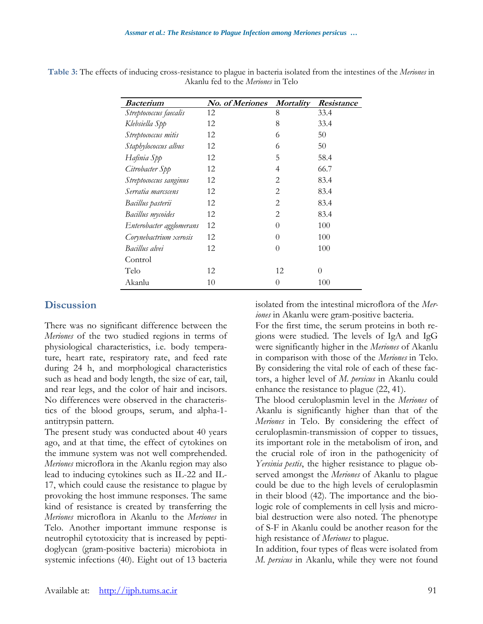| <b>Bacterium</b>         | No. of Meriones | <i>Mortality</i> | Resistance |
|--------------------------|-----------------|------------------|------------|
| Streptococcus faecalis   | 12              | 8                | 33.4       |
| Klebsiella Spp           | 12              | 8                | 33.4       |
| Streptococcus mitis      | 12              | 6                | 50         |
| Staphylococcus albus     | 12              | 6                | 50         |
| Hafinia Spp              | 12              | 5                | 58.4       |
| Citrobacter Spp          | 12              | 4                | 66.7       |
| Streptococcus sanginus   | 12              | 2                | 83.4       |
| Serratia marcscens       | 12              | 2                | 83.4       |
| Bacillus pasterii        | 12              | $\overline{2}$   | 83.4       |
| Bacillus mycoides        | 12              | $\overline{2}$   | 83.4       |
| Enterobacter agglomerans | 12              | $\theta$         | 100        |
| Corynebactrium xerosis   | 12              | 0                | 100        |
| Bacillus alvei           | 12              | $\theta$         | 100        |
| Control                  |                 |                  |            |
| Telo                     | 12              | 12               | 0          |
| Akanlu                   | 10              | 0                | 100        |

**Table 3:** The effects of inducing cross-resistance to plague in bacteria isolated from the intestines of the *Meriones* in Akanlu fed to the *Meriones* in Telo

## **Discussion**

There was no significant difference between the *Meriones* of the two studied regions in terms of physiological characteristics, i.e. body temperature, heart rate, respiratory rate, and feed rate during 24 h, and morphological characteristics such as head and body length, the size of ear, tail, and rear legs, and the color of hair and incisors. No differences were observed in the characteristics of the blood groups, serum, and alpha-1 antitrypsin pattern.

The present study was conducted about 40 years ago, and at that time, the effect of cytokines on the immune system was not well comprehended. *Meriones* microflora in the Akanlu region may also lead to inducing cytokines such as IL-22 and IL-17, which could cause the resistance to plague by provoking the host immune responses. The same kind of resistance is created by transferring the *Meriones* microflora in Akanlu to the *Meriones* in Telo. Another important immune response is neutrophil cytotoxicity that is increased by peptidoglycan (gram-positive bacteria) microbiota in systemic infections (40). Eight out of 13 bacteria isolated from the intestinal microflora of the *Meriones* in Akanlu were gram-positive bacteria.

For the first time, the serum proteins in both regions were studied. The levels of IgA and IgG were significantly higher in the *Meriones* of Akanlu in comparison with those of the *Meriones* in Telo. By considering the vital role of each of these factors, a higher level of *M. persicus* in Akanlu could enhance the resistance to plague (22, 41).

The blood ceruloplasmin level in the *Meriones* of Akanlu is significantly higher than that of the *Meriones* in Telo. By considering the effect of ceruloplasmin-transmission of copper to tissues, its important role in the metabolism of iron, and the crucial role of iron in the pathogenicity of *Yersinia pestis*, the higher resistance to plague observed amongst the *Meriones* of Akanlu to plague could be due to the high levels of ceruloplasmin in their blood (42). The importance and the biologic role of complements in cell lysis and microbial destruction were also noted. The phenotype of S-F in Akanlu could be another reason for the high resistance of *Meriones* to plague.

In addition, four types of fleas were isolated from *M. persicus* in Akanlu, while they were not found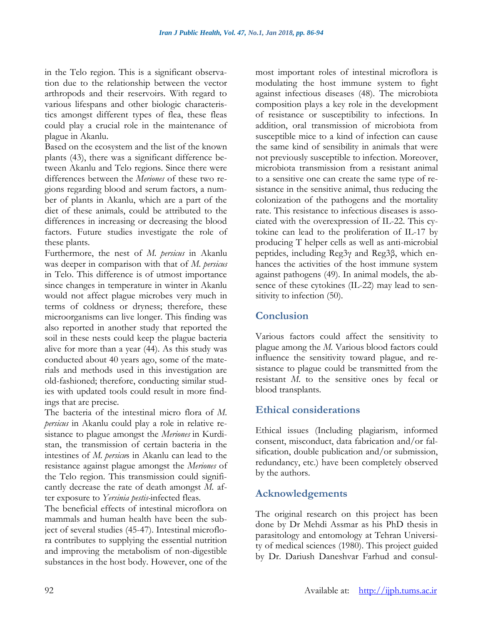in the Telo region. This is a significant observation due to the relationship between the vector arthropods and their reservoirs. With regard to various lifespans and other biologic characteristics amongst different types of flea, these fleas could play a crucial role in the maintenance of plague in Akanlu.

Based on the ecosystem and the list of the known plants (43), there was a significant difference between Akanlu and Telo regions. Since there were differences between the *Meriones* of these two regions regarding blood and serum factors, a number of plants in Akanlu, which are a part of the diet of these animals, could be attributed to the differences in increasing or decreasing the blood factors. Future studies investigate the role of these plants.

Furthermore, the nest of *M. persicus* in Akanlu was deeper in comparison with that of *M. persicus* in Telo. This difference is of utmost importance since changes in temperature in winter in Akanlu would not affect plague microbes very much in terms of coldness or dryness; therefore, these microorganisms can live longer. This finding was also reported in another study that reported the soil in these nests could keep the plague bacteria alive for more than a year (44). As this study was conducted about 40 years ago, some of the materials and methods used in this investigation are old-fashioned; therefore, conducting similar studies with updated tools could result in more findings that are precise.

The bacteria of the intestinal micro flora of *M. persicus* in Akanlu could play a role in relative resistance to plague amongst the *Meriones* in Kurdistan, the transmission of certain bacteria in the intestines of *M. persicu*s in Akanlu can lead to the resistance against plague amongst the *Meriones* of the Telo region. This transmission could significantly decrease the rate of death amongst *M.* after exposure to *Yersinia pestis-*infected fleas.

The beneficial effects of intestinal microflora on mammals and human health have been the subject of several studies (45-47). Intestinal microflora contributes to supplying the essential nutrition and improving the metabolism of non-digestible substances in the host body. However, one of the most important roles of intestinal microflora is modulating the host immune system to fight against infectious diseases (48). The microbiota composition plays a key role in the development of resistance or susceptibility to infections. In addition, oral transmission of microbiota from susceptible mice to a kind of infection can cause the same kind of sensibility in animals that were not previously susceptible to infection. Moreover, microbiota transmission from a resistant animal to a sensitive one can create the same type of resistance in the sensitive animal, thus reducing the colonization of the pathogens and the mortality rate. This resistance to infectious diseases is associated with the overexpression of IL-22. This cytokine can lead to the proliferation of IL-17 by producing T helper cells as well as anti-microbial peptides, including Reg3γ and Reg3β, which enhances the activities of the host immune system against pathogens (49). In animal models, the absence of these cytokines (IL-22) may lead to sensitivity to infection (50).

## **Conclusion**

Various factors could affect the sensitivity to plague among the *M.* Various blood factors could influence the sensitivity toward plague, and resistance to plague could be transmitted from the resistant *M.* to the sensitive ones by fecal or blood transplants.

## **Ethical considerations**

Ethical issues (Including plagiarism, informed consent, misconduct, data fabrication and/or falsification, double publication and/or submission, redundancy, etc.) have been completely observed by the authors.

## **Acknowledgements**

The original research on this project has been done by Dr Mehdi Assmar as his PhD thesis in parasitology and entomology at Tehran University of medical sciences (1980). This project guided by Dr. Dariush Daneshvar Farhud and consul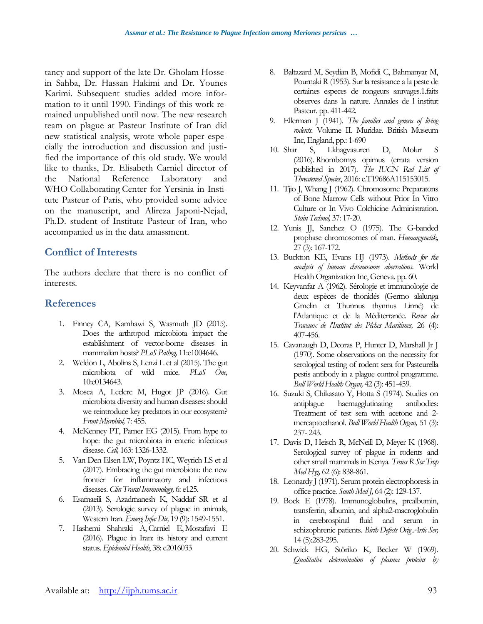tancy and support of the late Dr. Gholam Hossein Sahba, Dr. Hassan Hakimi and Dr. Younes Karimi. Subsequent studies added more information to it until 1990. Findings of this work remained unpublished until now. The new research team on plague at Pasteur Institute of Iran did new statistical analysis, wrote whole paper especially the introduction and discussion and justified the importance of this old study. We would like to thanks, Dr. Elisabeth Carniel director of the National Reference Laboratory and WHO Collaborating Center for Yersinia in Institute Pasteur of Paris, who provided some advice on the manuscript, and Alireza Japoni-Nejad, Ph.D. student of Institute Pasteur of Iran, who accompanied us in the data amassment.

## **Conflict of Interests**

The authors declare that there is no conflict of interests.

## **References**

- 1. Finney CA, Kamhawi S, Wasmuth JD (2015). Does the arthropod microbiota impact the establishment of vector-borne diseases in mammalian hosts? *PLoS Pathog,* 11:e1004646.
- 2. Weldon L, Abolins S, Lenzi L et al (2015). The gut microbiota of wild mice. *PLoS One,* 10:e0134643.
- 3. Mosca A, Leclerc M, Hugot JP (2016). Gut microbiota diversity and human diseases: should we reintroduce key predators in our ecosystem? *Front Microbiol,* 7: 455.
- 4. McKenney PT, Pamer EG (2015). From hype to hope: the gut microbiota in enteric infectious disease. *Cell,* 163: 1326-1332.
- 5. Van Den Elsen LW, Poyntz HC, Weyrich LS et al (2017). Embracing the gut microbiota: the new frontier for inflammatory and infectious diseases. *Clin Transl Immunology,* 6: e125.
- 6. Esamaeili S, Azadmanesh K, Naddaf SR et al (2013). Serologic survey of plague in animals, Western Iran. *Emerg Infec Dis,* 19 (9): 1549-1551.
- 7. Hashemi Shahraki A, Carniel E, Mostafavi E (2016). Plague in Iran: its history and current status. *Epidemiol Health*, 38: e2016033
- 8. Baltazard M, Seydian B, Mofidi C, Bahmanyar M, Pournaki R (1953). Sur la resistance a la peste de certaines especes de rongeurs sauvages.1.faits observes dans la nature. Annales de l institut Pasteur. pp. 411-442.
- 9. Ellerman J (1941). *The families and genera of living rodents*. Volume II. Muridae. British Museum Inc, England, pp.: 1-690
- 10. Shar S, Lkhagvasuren D, Molur S (2016).Rhombomys opimus (errata version published in 2017). *The IUCN Red List of Threatened Species*, 2016: e.T19686A115153015.
- 11. Tjio J, Whang J (1962). Chromosome Preparatons of Bone Marrow Cells without Prior In Vitro Culture or In Vivo Colchicine Administration. *Stain Technol,* 37: 17-20.
- 12. Yunis JJ, Sanchez O (1975). The G-banded prophase chromosomes of man. *Humangenetik,* 27 (3): 167-172.
- 13. Buckton KE, Evans HJ (1973). *Methods for the analysis of human chromosome aberrations*. World Health Organization Inc, Geneva. pp. 60.
- 14. Keyvanfar A (1962). Sérologie et immunologie de deux espèces de thonidés (Germo alalunga Gmelin et Thunnus thynnus Linné) de l'Atlantique et de la Méditerranée. *Revue des Travaux de l'Institut des Pêches Maritimes,* 26 (4): 407-456.
- 15. Cavanaugh D, Deoras P, Hunter D, Marshall Jr J (1970). Some observations on the necessity for serological testing of rodent sera for Pasteurella pestis antibody in a plague control programme. *Bull World Health Organ,* 42 (3): 451-459.
- 16. Suzuki S, Chikasato Y, Hotta S (1974). Studies on antiplague haemagglutinating antibodies: Treatment of test sera with acetone and 2 mercaptoethanol. *Bull World Health Organ*, 51 (3): 237- 243.
- 17. Davis D, Heisch R, McNeill D, Meyer K (1968). Serological survey of plague in rodents and other small mammals in Kenya. *Trans R Soc Trop Med Hyg,* 62 (6): 838-861.
- 18. Leonardy J (1971). Serum protein electrophoresis in office practice. *South Med J,* 64 (2): 129-137.
- 19. Bock E (1978). Immunoglobulins, prealbumin, transferrin, albumin, and alpha2-macroglobulin in cerebrospinal fluid and serum in schizophrenic patients. *Birth Defects Orig Artic Ser,* 14 (5):283-295.
- 20. Schwick HG, Störiko K, Becker W (1969). *Qualitative determination of plasma proteins by*